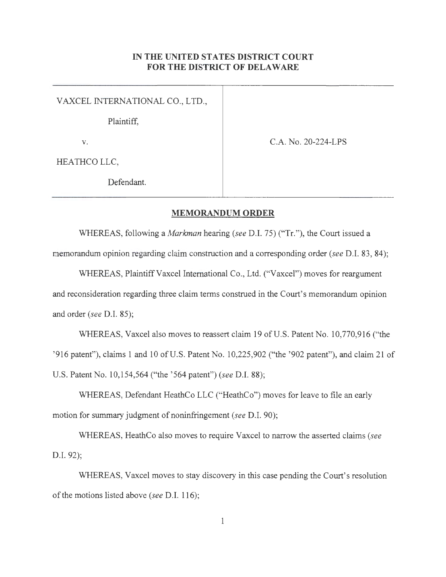## **IN THE UNITED STATES DISTRICT COURT FOR THE DISTRICT OF DELAWARE**

VAXCEL INTERNATIONAL CO., LTD.,

Plaintiff,

**V.** C.A. No. 20-224-LPS

HEATHCO LLC,

Defendant.

## **MEMORANDUM ORDER**

WHEREAS, following a *Markman* hearing *(see* D.I. 75) ("Tr."), the Court issued a memorandum opinion regarding claim construction and a corresponding order *(see* D.I. 83, 84);

WHEREAS, Plaintiff Vaxcel International Co., Ltd. ("Vaxcel") moves for reargument and reconsideration regarding three claim terms construed in the Court's memorandum opinion and order *(see* D.I. 85);

WHEREAS, Vaxcel also moves to reassert claim 19 of U.S. Patent No. 10,770,916 ("the ' 916 patent"), claims 1 and 10 of U.S. Patent No. 10,225,902 ("the ' 902 patent"), and claim 21 of U.S. Patent No. 10,154,564 ("the ' 564 patent") *(see* D.I. **88);** 

WHEREAS, Defendant HeathCo LLC ("HeathCo") moves for leave to file an early motion for summary judgment of noninfringement *(see* D.I. 90);

WHEREAS, HeathCo also moves to require V axcel to narrow the asserted claims *(see*  D.I. 92);

WHEREAS, Vaxcel moves to stay discovery in this case pending the Court's resolution of the motions listed above *(see* D.I. 116);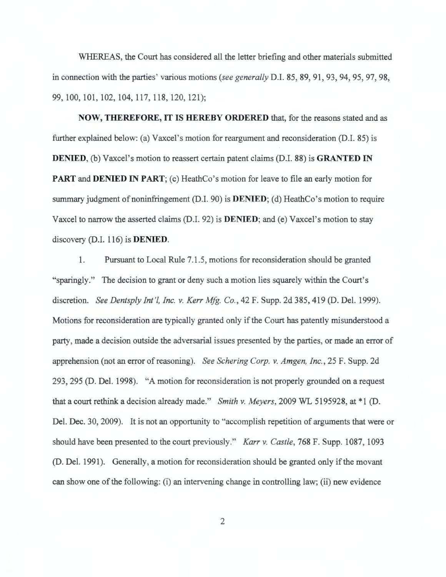WHEREAS, the Court has considered all the letter briefing and other materials submitted in connection with the parties' various motions *(see generally* D.I. 85, 89, 91 , 93, 94, 95, 97, 98, 99, 100, 101 , 102, 104, 117, 118, 120, 121);

**NOW, THEREFORE, IT IS HEREBY ORDERED** that, for the reasons stated and as further explained below: (a) Vaxcel's motion for reargument and reconsideration (D.I. 85) is **DENIED,** (b) Vaxcel's motion to reassert certain patent claims (D.I. 88) is **GRANTED IN PART** and **DENIED IN PART**; (c) HeathCo's motion for leave to file an early motion for summary judgment of noninfringement (D.I. 90) is **DENIED;** (d) HeathCo's motion to require Vaxcel to narrow the asserted claims (D.I. 92) is **DENIED;** and (e) Vaxcel's motion to stay discovery (D.I. 116) is **DENIED.** 

1. Pursuant to Local Rule 7.1.5, motions for reconsideration should be granted "sparingly." The decision to grant or deny such a motion lies squarely within the Court's discretion. *See Dentsply Int '!, Inc. v. Kerr Mfg. Co.,* 42 F. Supp. 2d 385, 419 (D. Del. 1999). Motions for reconsideration are typically granted only if the Court has patently misunderstood a party, made a decision outside the adversarial issues presented by the parties, or made an error of apprehension (not an error of reasoning). *See Schering Corp. v. Amgen, Inc.*, 25 F. Supp. 2d 293, 295 (D. Del. 1998). "A motion for reconsideration is not properly grounded on a request that a court rethink a decision already made." *Smith v. Meyers*, 2009 WL 5195928, at \*1 (D. Del. Dec. 30, 2009). It is not an opportunity to "accomplish repetition of arguments that were or should have been presented to the court previously." *Karr v. Castle*, 768 F. Supp. 1087, 1093 (D. Del. 1991). Generally, a motion for reconsideration should be granted only if the movant can show one of the following: (i) an intervening change in controlling law; (ii) new evidence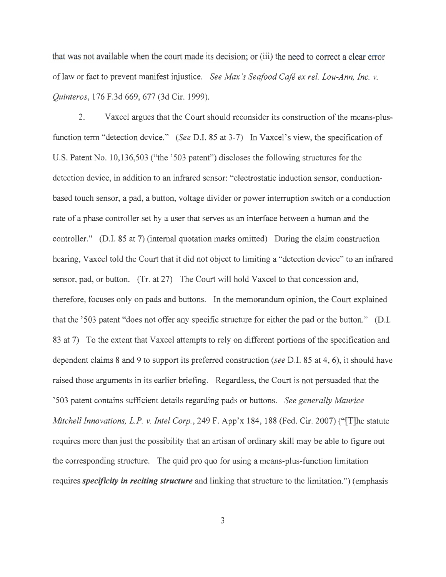that was not available when the court made its decision; or (iii) the need to correct a clear error of law or fact to prevent manifest injustice. *See Max 's Seafood Cafe ex rel. Lou-Ann, Inc. v. Quinteros,* 176 F.3d 669, 677 (3d Cir. 1999).

2. Vaxcel argues that the Court should reconsider its construction of the means-plusfunction term "detection device." *(See* D.I. 85 at 3-7) In Vaxcel's view, the specification of U.S. Patent No. 10,136,503 ("the '503 patent") discloses the following structures for the detection device, in addition to an infrared sensor: "electrostatic induction sensor, conductionbased touch sensor, a pad, a button, voltage divider or power interruption switch or a conduction rate of a phase controller set by a user that serves as an interface between a human and the controller." (D.I. 85 at 7) (internal quotation marks omitted) During the claim construction hearing, V axcel told the Court that it did not object to limiting a "detection device" to an infrared sensor, pad, or button. (Tr. at 27) The Court will hold Vaxcel to that concession and, therefore, focuses only on pads and buttons. In the memorandum opinion, the Court explained that the '503 patent "does not offer any specific structure for either the pad or the button." (D.I. 83 at 7) To the extent that Vaxcel attempts to rely on different portions of the specification and dependent claims 8 and 9 to support its preferred construction *(see* D.I. 85 at 4, 6), it should have raised those arguments in its earlier briefing. Regardless, the Court is not persuaded that the ' 503 patent contains sufficient details regarding pads or buttons. *See generally Maurice Mitchell Innovations, L.P. v. Intel Corp.,* 249 F. App'x 184, 188 (Fed. Cir. 2007) ("[T]he statute requires more than just the possibility that an artisan of ordinary skill may be able to figure out the corresponding structure. The quid pro quo for using a means-plus-function limitation requires *specificity in reciting structure* and linking that structure to the limitation.") (emphasis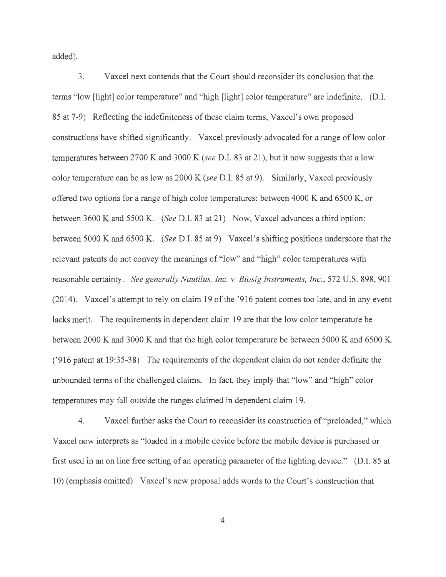added).

3. V axcel next contends that the Court should reconsider its conclusion that the terms "low [light] color temperature" and "high [light] color temperature" are indefinite. (D.I. 85 at 7-9) Reflecting the indefiniteness of these claim terms, Vaxcel's own proposed constructions have shifted significantly. Vaxcel previously advocated for a range of low color temperatures between 2700 Kand 3000 K *(see* D.I. 83 at 21), but it now suggests that a low color temperature can be as low as 2000 K *(see* D.I. 85 at 9). Similarly, Vaxcel previously offered two options for a range of high color temperatures: between  $4000$  K and  $6500$  K, or between 3600 K and 5500 K. *(See D.I. 83 at 21)* Now, Vaxcel advances a third option: between 5000 Kand 6500 K. *(See* D.I. 85 at 9) Vaxcel's shifting positions underscore that the relevant patents do not convey the meanings of "low" and "high" color temperatures with reasonable certainty. *See generally Nautilus, Inc. v. Biosig Instruments, Inc. ,* 572 U.S. 898, 901 (2014). Vaxcel's attempt to rely on claim 19 of the '916 patent comes too late, and in any event lacks merit. The requirements in dependent claim 19 are that the low color temperature be between 2000 K and 3000 K and that the high color temperature be between 5000 K and 6500 K. ('916 patent at 19:35-38) The requirements of the dependent claim do not render definite the unbounded terms of the challenged claims. In fact, they imply that "low" and "high" color temperatures may fall outside the ranges claimed in dependent claim 19.

4. V axcel further asks the Court to reconsider its construction of "preloaded," which Vaxcel now interprets as "loaded in a mobile device before the mobile device is purchased or first used in an on line free setting of an operating parameter of the lighting device." (D.I. 85 at 10) (emphasis omitted) Vaxcel's new proposal adds words to the Court's construction that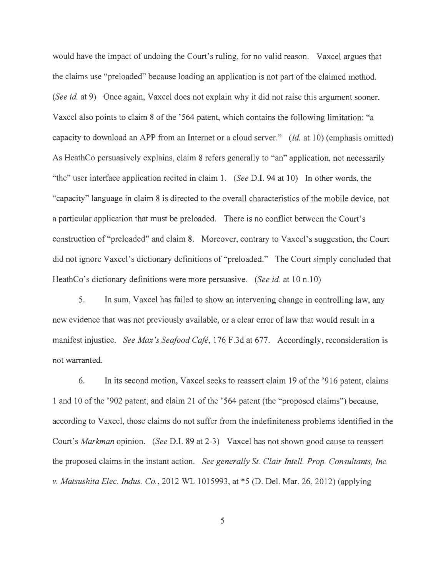would have the impact of undoing the Court's ruling, for no valid reason. Vaxcel argues that the claims use "preloaded" because loading an application is not part of the claimed method. *(See id. at 9)* Once again, Vaxcel does not explain why it did not raise this argument sooner. Vaxcel also points to claim 8 of the '564 patent, which contains the following limitation: "a capacity to download an APP from an Internet or a cloud server." *(Id.* at 10) (emphasis omitted) As HeathCo persuasively explains, claim 8 refers generally to "an" application, not necessarily "the" user interface application recited in claim 1. *(See* D.I. 94 at 10) In other words, the "capacity" language in claim 8 is directed to the overall characteristics of the mobile device, not a particular application that must be preloaded. There is no conflict between the Court's construction of"preloaded" and claim 8. Moreover, contrary to Vaxcel's suggestion, the Court did not ignore V axcel's dictionary definitions of "preloaded." The Court simply concluded that Heath Co's dictionary definitions were more persuasive. *(See id. at 10 n.10)* 

5. In sum, Vaxcel has failed to show an intervening change in controlling law, any new evidence that was not previously available, or a clear error of law that would result in a manifest injustice. *See Max 's Seafood Cafe,* 176 F.3d at 677. Accordingly, reconsideration is not warranted.

6. In its second motion, Vaxcel seeks to reassert claim 19 of the '916 patent, claims 1 and 10 of the '902 patent, and claim 21 of the '5 64 patent ( the "proposed claims") because, according to Vaxcel, those claims do not suffer from the indefiniteness problems identified in the Court's *Markman* opinion. *(See* D.I. 89 at 2-3) Vaxcel has not shown good cause to reassert the proposed claims in the instant action. *See generally St. Clair Intel!. Prop. Consultants, Inc. v. Matsushita Elec. Indus. Co.,* 2012 WL 1015993, at \*5 (D. Del. Mar. 26, 2012) (applying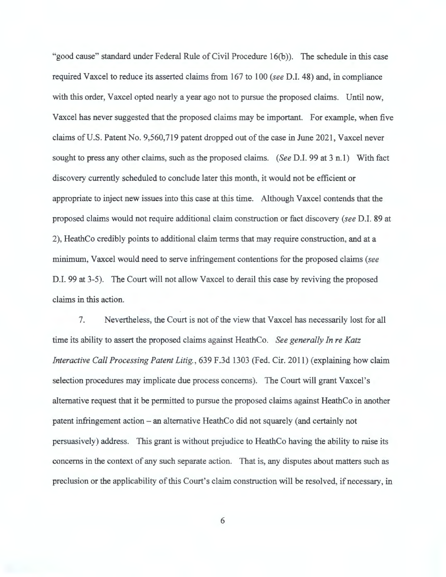"good cause" standard under Federal Rule of Civil Procedure 16(b)). The schedule in this case required Vaxcel to reduce its asserted claims from 167 to 100 *(see* D.I. 48) and, in compliance with this order, V axcel opted nearly a year ago not to pursue the proposed claims. Until now, Vaxcel has never suggested that the proposed claims may be important. For example, when five claims of U.S. Patent No. 9,560,719 patent dropped out of the case in June 2021, Vaxcel never sought to press any other claims, such as the proposed claims. *(See* D.I. 99 at 3 n.l) With fact discovery currently scheduled to conclude later this month, it would not be efficient or appropriate to inject new issues into this case at this time. Although V axcel contends that the proposed claims would not require additional claim construction or fact discovery *(see* D.I. 89 at 2), HeathCo credibly points to additional claim terms that may require construction, and at a minimum, Vaxcel would need to serve infringement contentions for the proposed claims *(see* D.I. 99 at 3-5). The Court will not allow Vaxcel to derail this case by reviving the proposed claims in this action.

7. Nevertheless, the Court is not of the view that Vaxcel has necessarily lost for all time its ability to assert the proposed claims against HeathCo. *See generally In re Katz Interactive Call Processing Patent Litig. ,* 639 F.3d 1303 (Fed. Cir. 2011) (explaining how claim selection procedures may implicate due process concerns). The Court will grant Vaxcel's alternative request that it be permitted to pursue the proposed claims against HeathCo in another patent infringement action – an alternative Heath Co did not squarely (and certainly not persuasively) address. This grant is without prejudice to HeathCo having the ability to raise its concerns in the context of any such separate action. That is, any disputes about matters such as preclusion or the applicability of this Court's claim construction will be resolved, if necessary, in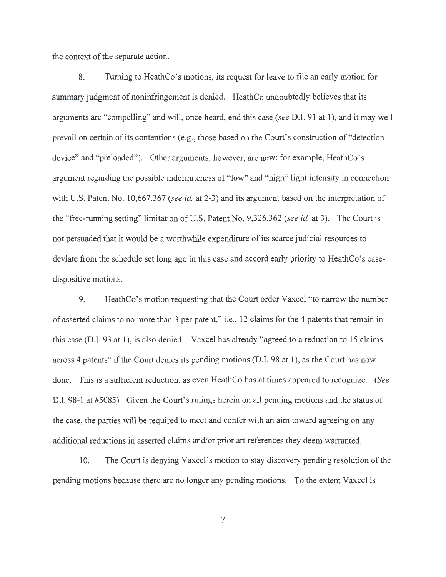the context of the separate action.

8. Turning to HeathCo's motions, its request for leave to file an early motion for summary judgment of noninfringement is denied. HeathCo undoubtedly believes that its arguments are "compelling" and will, once heard, end this case *(see* D.I. 91 at 1), and it may well prevail on certain of its contentions ( e.g., those based on the Court's construction of "detection device" and "preloaded"). Other arguments, however, are new: for example, HeathCo's argument regarding the possible indefiniteness of "low" and "high" light intensity in connection with U.S. Patent No. 10,667,367 *(see id.* at 2-3) and its argument based on the interpretation of the "free-running setting" limitation of U.S. Patent No. 9,326,362 *(see id.* at 3). The Court is not persuaded that it would be a worthwhile expenditure of its scarce judicial resources to deviate from the schedule set long ago in this case and accord early priority to HeathCo's casedispositive motions.

9. Heath Co's motion requesting that the Court order V axcel "to narrow the number of asserted claims to no more than 3 per patent," i.e., 12 claims for the 4 patents that remain in this case (D.I. 93 at 1), is also denied. Vaxcel has already "agreed to a reduction to 15 claims across 4 patents" if the Court denies its pending motions (D.I. 98 at 1), as the Court has now done. This is a sufficient reduction, as even HeathCo has at times appeared to recognize. *(See*  D.I. 98-1 at #5085) Given the Court's rulings herein on all pending motions and the status of the case, the parties will be required to meet and confer with an aim toward agreeing on any additional reductions in asserted claims and/or prior art references they deem warranted.

10. The Court is denying Vaxcel's motion to stay discovery pending resolution of the pending motions because there are no longer any pending motions. To the extent Vaxcel is